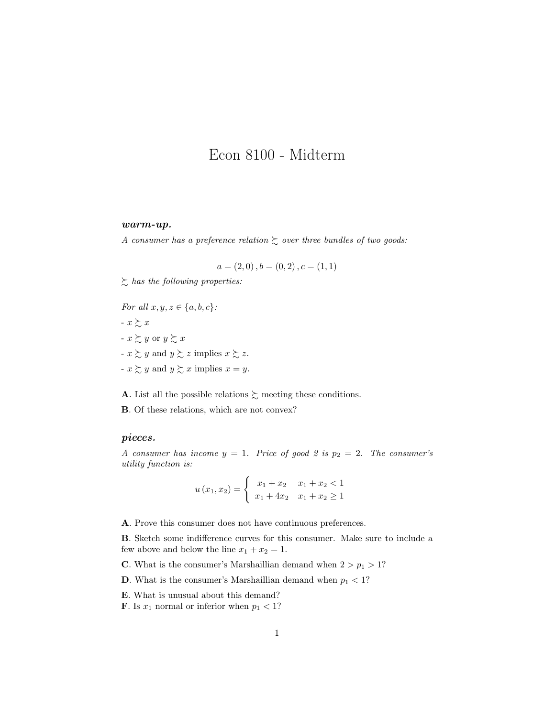## Econ 8100 - Midterm

## warm-up.

A consumer has a preference relation  $\gtrsim$  over three bundles of two goods:

$$
a = (2, 0), b = (0, 2), c = (1, 1)
$$

 $\sum$  has the following properties:

For all  $x, y, z \in \{a, b, c\}$ : -  $x \succeq x$ -  $x \gtrsim y$  or  $y \gtrsim x$  $-x \succsim y$  and  $y \succsim z$  implies  $x \succsim z$ . -  $x \gtrsim y$  and  $y \gtrsim x$  implies  $x = y$ .

**A**. List all the possible relations  $\gtrsim$  meeting these conditions.

B. Of these relations, which are not convex?

## pieces.

A consumer has income  $y = 1$ . Price of good 2 is  $p_2 = 2$ . The consumer's utility function is:

$$
u(x_1, x_2) = \begin{cases} x_1 + x_2 & x_1 + x_2 < 1 \\ x_1 + 4x_2 & x_1 + x_2 \ge 1 \end{cases}
$$

A. Prove this consumer does not have continuous preferences.

B. Sketch some indifference curves for this consumer. Make sure to include a few above and below the line  $x_1 + x_2 = 1$ .

- **C**. What is the consumer's Marshaillian demand when  $2 > p_1 > 1$ ?
- **D**. What is the consumer's Marshaillian demand when  $p_1 < 1$ ?
- E. What is unusual about this demand?
- **F**. Is  $x_1$  normal or inferior when  $p_1 < 1$ ?